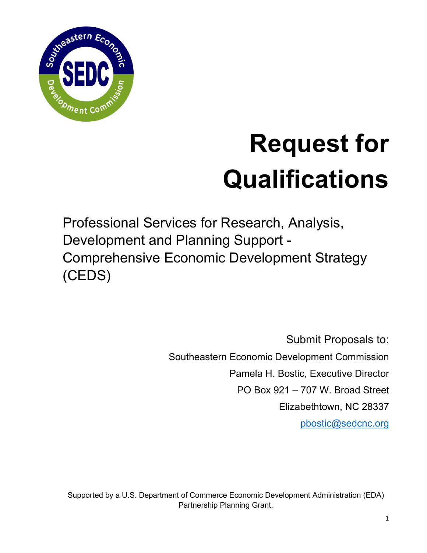

# **Request for Qualifications**

Professional Services for Research, Analysis, Development and Planning Support - Comprehensive Economic Development Strategy (CEDS)

> Submit Proposals to: Southeastern Economic Development Commission Pamela H. Bostic, Executive Director PO Box 921 – 707 W. Broad Street Elizabethtown, NC 28337 [pbostic@sedcnc.org](mailto:pbostic@sedcnc.org)

Supported by a U.S. Department of Commerce Economic Development Administration (EDA) Partnership Planning Grant.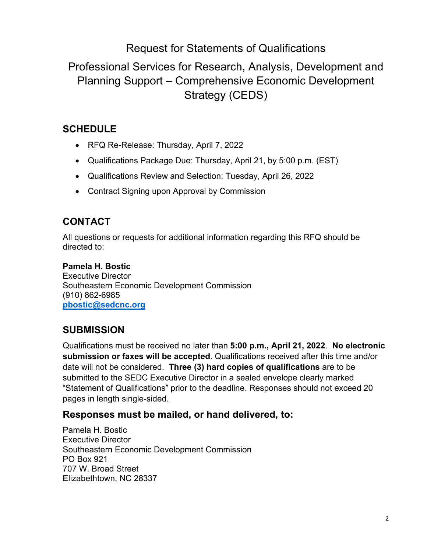Request for Statements of Qualifications

## Professional Services for Research, Analysis, Development and Planning Support – Comprehensive Economic Development Strategy (CEDS)

### **SCHEDULE**

- RFQ Re-Release: Thursday, April 7, 2022
- Qualifications Package Due: Thursday, April 21, by 5:00 p.m. (EST)
- Qualifications Review and Selection: Tuesday, April 26, 2022
- Contract Signing upon Approval by Commission

## **CONTACT**

All questions or requests for additional information regarding this RFQ should be directed to:

#### **Pamela H. Bostic**

Executive Director Southeastern Economic Development Commission (910) 862-6985 **[pbostic@sedcnc.org](mailto:pbostic@sedcnc.org)**

## **SUBMISSION**

Qualifications must be received no later than **5:00 p.m., April 21, 2022**. **No electronic submission or faxes will be accepted**. Qualifications received after this time and/or date will not be considered. **Three (3) hard copies of qualifications** are to be submitted to the SEDC Executive Director in a sealed envelope clearly marked "Statement of Qualifications" prior to the deadline. Responses should not exceed 20 pages in length single-sided.

#### **Responses must be mailed, or hand delivered, to:**

Pamela H. Bostic Executive Director Southeastern Economic Development Commission PO Box 921 707 W. Broad Street Elizabethtown, NC 28337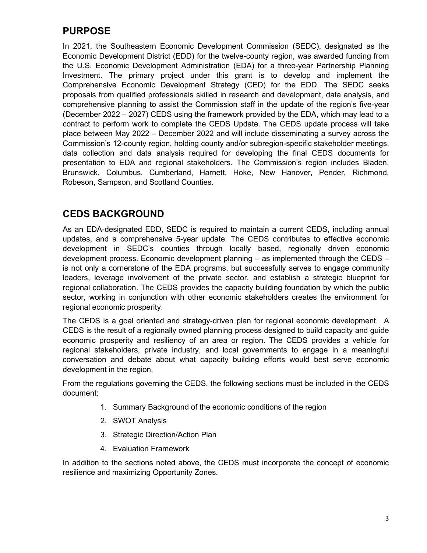## **PURPOSE**

In 2021, the Southeastern Economic Development Commission (SEDC), designated as the Economic Development District (EDD) for the twelve-county region, was awarded funding from the U.S. Economic Development Administration (EDA) for a three-year Partnership Planning Investment. The primary project under this grant is to develop and implement the Comprehensive Economic Development Strategy (CED) for the EDD. The SEDC seeks proposals from qualified professionals skilled in research and development, data analysis, and comprehensive planning to assist the Commission staff in the update of the region's five-year (December 2022 – 2027) CEDS using the framework provided by the EDA, which may lead to a contract to perform work to complete the CEDS Update. The CEDS update process will take place between May 2022 – December 2022 and will include disseminating a survey across the Commission's 12-county region, holding county and/or subregion-specific stakeholder meetings, data collection and data analysis required for developing the final CEDS documents for presentation to EDA and regional stakeholders. The Commission's region includes Bladen, Brunswick, Columbus, Cumberland, Harnett, Hoke, New Hanover, Pender, Richmond, Robeson, Sampson, and Scotland Counties.

#### **CEDS BACKGROUND**

As an EDA-designated EDD, SEDC is required to maintain a current CEDS, including annual updates, and a comprehensive 5-year update. The CEDS contributes to effective economic development in SEDC's counties through locally based, regionally driven economic development process. Economic development planning – as implemented through the CEDS – is not only a cornerstone of the EDA programs, but successfully serves to engage community leaders, leverage involvement of the private sector, and establish a strategic blueprint for regional collaboration. The CEDS provides the capacity building foundation by which the public sector, working in conjunction with other economic stakeholders creates the environment for regional economic prosperity.

The CEDS is a goal oriented and strategy-driven plan for regional economic development. A CEDS is the result of a regionally owned planning process designed to build capacity and guide economic prosperity and resiliency of an area or region. The CEDS provides a vehicle for regional stakeholders, private industry, and local governments to engage in a meaningful conversation and debate about what capacity building efforts would best serve economic development in the region.

From the regulations governing the CEDS, the following sections must be included in the CEDS document:

- 1. Summary Background of the economic conditions of the region
- 2. SWOT Analysis
- 3. Strategic Direction/Action Plan
- 4. Evaluation Framework

In addition to the sections noted above, the CEDS must incorporate the concept of economic resilience and maximizing Opportunity Zones.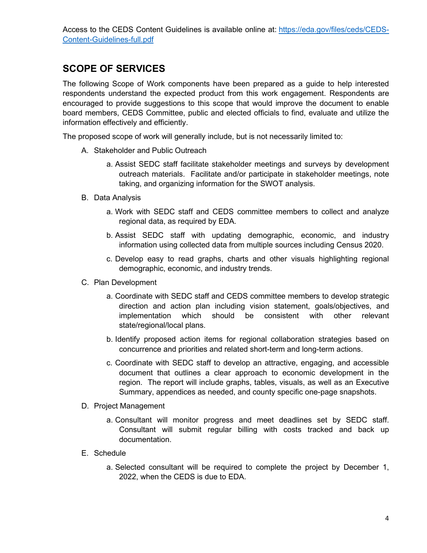## **SCOPE OF SERVICES**

The following Scope of Work components have been prepared as a guide to help interested respondents understand the expected product from this work engagement. Respondents are encouraged to provide suggestions to this scope that would improve the document to enable board members, CEDS Committee, public and elected officials to find, evaluate and utilize the information effectively and efficiently.

The proposed scope of work will generally include, but is not necessarily limited to:

- A. Stakeholder and Public Outreach
	- a. Assist SEDC staff facilitate stakeholder meetings and surveys by development outreach materials. Facilitate and/or participate in stakeholder meetings, note taking, and organizing information for the SWOT analysis.
- B. Data Analysis
	- a. Work with SEDC staff and CEDS committee members to collect and analyze regional data, as required by EDA.
	- b. Assist SEDC staff with updating demographic, economic, and industry information using collected data from multiple sources including Census 2020.
	- c. Develop easy to read graphs, charts and other visuals highlighting regional demographic, economic, and industry trends.
- C. Plan Development
	- a. Coordinate with SEDC staff and CEDS committee members to develop strategic direction and action plan including vision statement, goals/objectives, and implementation which should be consistent with other relevant state/regional/local plans.
	- b. Identify proposed action items for regional collaboration strategies based on concurrence and priorities and related short-term and long-term actions.
	- c. Coordinate with SEDC staff to develop an attractive, engaging, and accessible document that outlines a clear approach to economic development in the region. The report will include graphs, tables, visuals, as well as an Executive Summary, appendices as needed, and county specific one-page snapshots.
- D. Project Management
	- a. Consultant will monitor progress and meet deadlines set by SEDC staff. Consultant will submit regular billing with costs tracked and back up documentation.
- E. Schedule
	- a. Selected consultant will be required to complete the project by December 1, 2022, when the CEDS is due to EDA.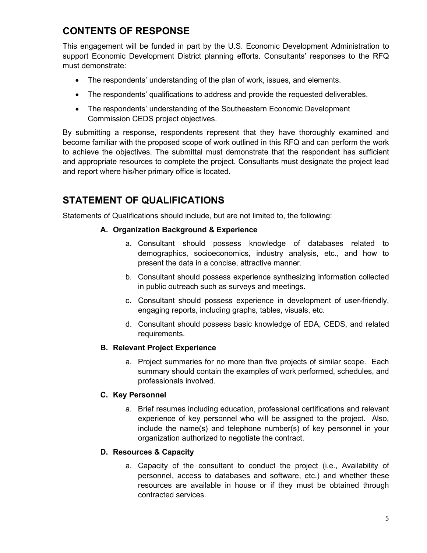## **CONTENTS OF RESPONSE**

This engagement will be funded in part by the U.S. Economic Development Administration to support Economic Development District planning efforts. Consultants' responses to the RFQ must demonstrate:

- The respondents' understanding of the plan of work, issues, and elements.
- The respondents' qualifications to address and provide the requested deliverables.
- The respondents' understanding of the Southeastern Economic Development Commission CEDS project objectives.

By submitting a response, respondents represent that they have thoroughly examined and become familiar with the proposed scope of work outlined in this RFQ and can perform the work to achieve the objectives. The submittal must demonstrate that the respondent has sufficient and appropriate resources to complete the project. Consultants must designate the project lead and report where his/her primary office is located.

## **STATEMENT OF QUALIFICATIONS**

Statements of Qualifications should include, but are not limited to, the following:

#### **A. Organization Background & Experience**

- a. Consultant should possess knowledge of databases related to demographics, socioeconomics, industry analysis, etc., and how to present the data in a concise, attractive manner.
- b. Consultant should possess experience synthesizing information collected in public outreach such as surveys and meetings.
- c. Consultant should possess experience in development of user-friendly, engaging reports, including graphs, tables, visuals, etc.
- d. Consultant should possess basic knowledge of EDA, CEDS, and related requirements.

#### **B. Relevant Project Experience**

a. Project summaries for no more than five projects of similar scope. Each summary should contain the examples of work performed, schedules, and professionals involved.

#### **C. Key Personnel**

a. Brief resumes including education, professional certifications and relevant experience of key personnel who will be assigned to the project. Also, include the name(s) and telephone number(s) of key personnel in your organization authorized to negotiate the contract.

#### **D. Resources & Capacity**

a. Capacity of the consultant to conduct the project (i.e., Availability of personnel, access to databases and software, etc.) and whether these resources are available in house or if they must be obtained through contracted services.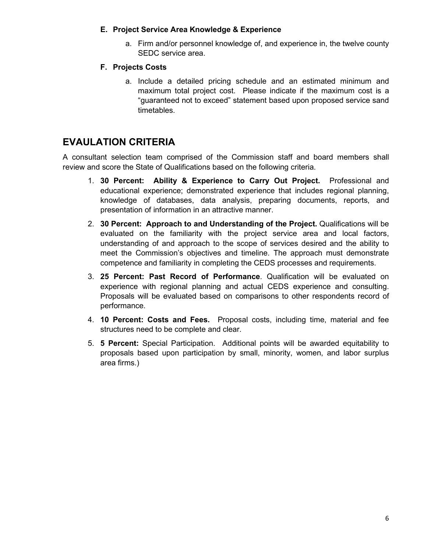#### **E. Project Service Area Knowledge & Experience**

a. Firm and/or personnel knowledge of, and experience in, the twelve county SEDC service area.

#### **F. Projects Costs**

a. Include a detailed pricing schedule and an estimated minimum and maximum total project cost. Please indicate if the maximum cost is a "guaranteed not to exceed" statement based upon proposed service sand timetables.

### **EVAULATION CRITERIA**

A consultant selection team comprised of the Commission staff and board members shall review and score the State of Qualifications based on the following criteria.

- 1. **30 Percent: Ability & Experience to Carry Out Project.** Professional and educational experience; demonstrated experience that includes regional planning, knowledge of databases, data analysis, preparing documents, reports, and presentation of information in an attractive manner.
- 2. **30 Percent: Approach to and Understanding of the Project.** Qualifications will be evaluated on the familiarity with the project service area and local factors, understanding of and approach to the scope of services desired and the ability to meet the Commission's objectives and timeline. The approach must demonstrate competence and familiarity in completing the CEDS processes and requirements.
- 3. **25 Percent: Past Record of Performance**. Qualification will be evaluated on experience with regional planning and actual CEDS experience and consulting. Proposals will be evaluated based on comparisons to other respondents record of performance.
- 4. **10 Percent: Costs and Fees.** Proposal costs, including time, material and fee structures need to be complete and clear.
- 5. **5 Percent:** Special Participation. Additional points will be awarded equitability to proposals based upon participation by small, minority, women, and labor surplus area firms.)